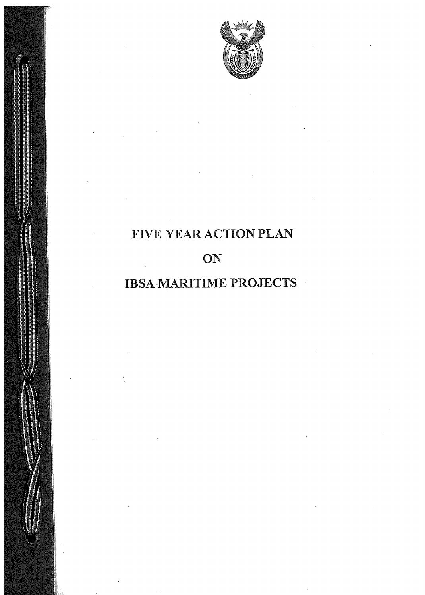

## FIVE YEAR ACTION PLAN

# **ON**

### IBSA-MARITIME PROJECTS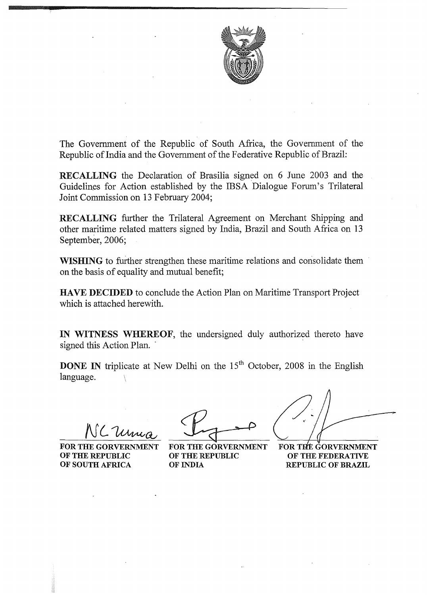

The Government of the Republic of South Africa, the Government of the Republic of India and the Government of the Federative Republic of Brazil:

RECALLING the Declaration of Brasilia signed on 6 June 2003 and the Guidelines for Action established by the IBSA Dialogue Forum's Trilateral Joint Commission on 13 February 2004;

RECALLING further the Trilateral Agreement on Merchant Shipping and other maritime related matters signed by India, Brazil and South Africa on 13 September, 2006;

WISHING to further strengthen these maritime relations and consolidate them on the basis of equality and mutual benefit;

HAVE DECIDED to conclude the Action Plan on Maritime Transport Project which is attached herewith.

IN WITNESS WHEREOF, the undersigned duly authorized thereto have signed this Action Plan.

**DONE IN** triplicate at New Delhi on the  $15<sup>th</sup>$  October, 2008 in the English language.

OF THE REPUBLIC OF THE REPUBLIC OF SOUTH AFRICA OF INDIA

FOR THE GORVERNMENT FOR THE GORVERNMENT

FOR THE GORVERNMENT OF THE FEDERATIVE REPUBLIC OF BRAZIL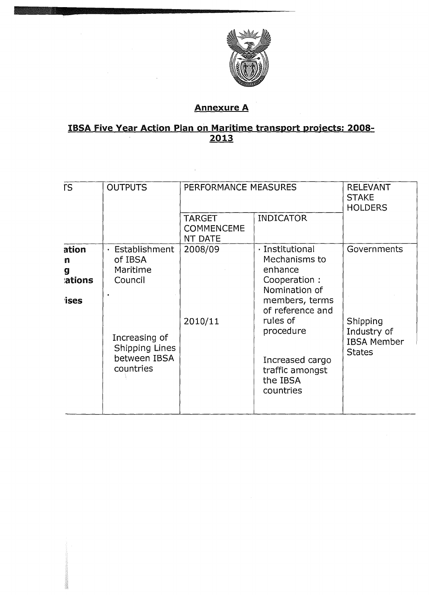

#### **Annexure A**

# IBSA Five Year Action Plan on Maritime transport projects: 2008-<br>2013

| <b>rs</b>                                | <b>OUTPUTS</b>                                                                                                                           | PERFORMANCE MEASURES                          | <b>RELEVANT</b><br><b>STAKE</b><br><b>HOLDERS</b>                                                                                                                                                           |                                                                               |
|------------------------------------------|------------------------------------------------------------------------------------------------------------------------------------------|-----------------------------------------------|-------------------------------------------------------------------------------------------------------------------------------------------------------------------------------------------------------------|-------------------------------------------------------------------------------|
|                                          |                                                                                                                                          | <b>TARGET</b><br><b>COMMENCEME</b><br>NT DATE | <b>INDICATOR</b>                                                                                                                                                                                            |                                                                               |
| ation<br>n<br>g<br>ations<br><b>ises</b> | Establishment<br>$\blacksquare$<br>of IBSA<br>Maritime<br>Council<br>Increasing of<br><b>Shipping Lines</b><br>between IBSA<br>countries | 2008/09<br>2010/11                            | · Institutional<br>Mechanisms to<br>enhance<br>Cooperation :<br>Nomination of<br>members, terms<br>of reference and<br>rules of<br>procedure<br>Increased cargo<br>traffic amongst<br>the IBSA<br>countries | Governments<br>Shipping<br>Industry of<br><b>IBSA Member</b><br><b>States</b> |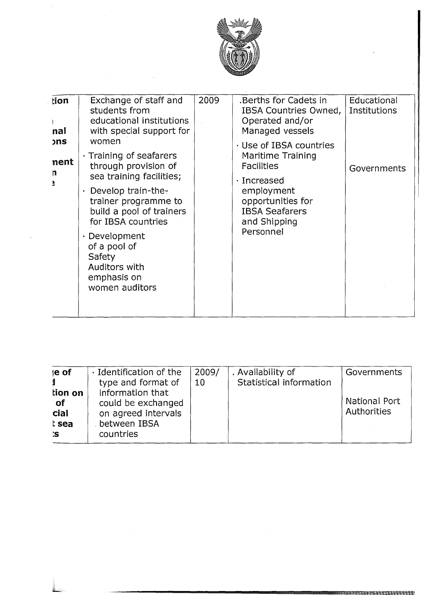

 $\frac{1}{2}$ 

| tion<br>nal             | Exchange of staff and<br>students from<br>educational institutions<br>with special support for                                                                                                                                                                                  | 2009 | .Berths for Cadets in<br>IBSA Countries Owned,<br>Operated and/or<br>Managed vessels                                                                                          | Educational<br>Institutions |
|-------------------------|---------------------------------------------------------------------------------------------------------------------------------------------------------------------------------------------------------------------------------------------------------------------------------|------|-------------------------------------------------------------------------------------------------------------------------------------------------------------------------------|-----------------------------|
| <b>ons</b><br>nent<br>n | women<br>· Training of seafarers<br>through provision of<br>sea training facilities;<br>Develop train-the-<br>trainer programme to<br>build a pool of trainers<br>for IBSA countries<br>Development<br>of a pool of<br>Safety<br>Auditors with<br>emphasis on<br>women auditors |      | Use of IBSA countries<br>Maritime Training<br><b>Facilities</b><br>$\cdot$ Increased<br>employment<br>opportunities for<br><b>IBSA Seafarers</b><br>and Shipping<br>Personnel | Governments                 |
|                         |                                                                                                                                                                                                                                                                                 |      |                                                                                                                                                                               |                             |

| le of                                      | · Identification of the                                                                    | 2009/ | . Availability of       | Governments                  |
|--------------------------------------------|--------------------------------------------------------------------------------------------|-------|-------------------------|------------------------------|
|                                            | type and format of                                                                         | 10    | Statistical information |                              |
| tion on<br>of<br>cial<br>t sea<br><b>S</b> | information that<br>could be exchanged<br>on agreed intervals<br>between IBSA<br>countries |       |                         | National Port<br>Authorities |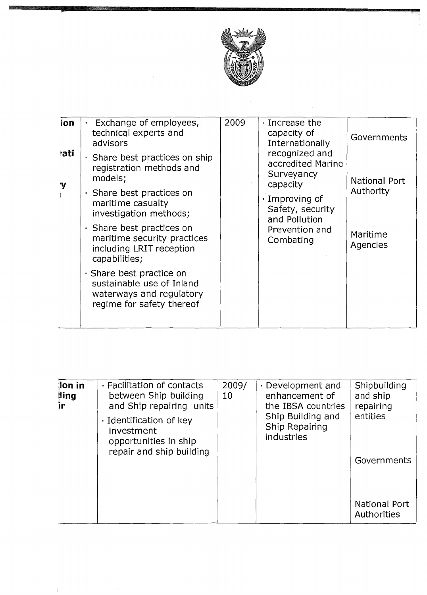

 $\bar{z}$ 

| ion      | Exchange of employees,<br>technical experts and<br>advisors                                                          | 2009 | Increase the<br>capacity of<br>Internationally<br>recognized and<br>accredited Marine<br>Surveyancy<br>capacity<br>$\cdot$ Improving of<br>Safety, security<br>and Pollution<br>Prevention and<br>Combating | <b>Governments</b>         |
|----------|----------------------------------------------------------------------------------------------------------------------|------|-------------------------------------------------------------------------------------------------------------------------------------------------------------------------------------------------------------|----------------------------|
| rati     | Share best practices on ship<br>registration methods and<br>models;                                                  |      |                                                                                                                                                                                                             | National Port<br>Authority |
| <b>Y</b> | $\cdot$ Share best practices on<br>maritime casualty<br>investigation methods;                                       |      |                                                                                                                                                                                                             |                            |
|          | · Share best practices on<br>maritime security practices<br>including LRIT reception<br>capabilities;                |      |                                                                                                                                                                                                             | Maritime<br>Agencies       |
|          | $\cdot$ Share best practice on<br>sustainable use of Inland<br>waterways and regulatory<br>regime for safety thereof |      |                                                                                                                                                                                                             |                            |
|          |                                                                                                                      |      |                                                                                                                                                                                                             |                            |

| lion in<br>ding<br>ir | · Facilitation of contacts<br>between Ship building<br>and Ship repairing units<br>· Identification of key<br>investment<br>opportunities in ship<br>repair and ship building | 2009/<br>10 | Development and<br>enhancement of<br>the IBSA countries<br>Ship Building and<br>Ship Repairing<br>industries | Shipbuilding<br>and ship<br>repairing<br>entities<br>Governments |
|-----------------------|-------------------------------------------------------------------------------------------------------------------------------------------------------------------------------|-------------|--------------------------------------------------------------------------------------------------------------|------------------------------------------------------------------|
|                       |                                                                                                                                                                               |             |                                                                                                              | National Port<br>Authorities                                     |